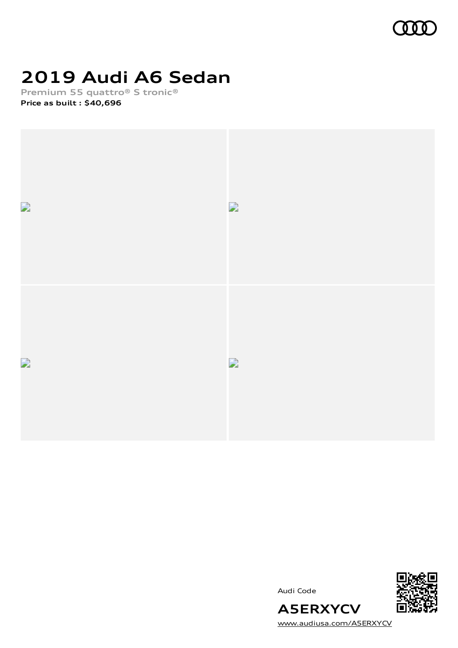

# **2019 Audi A6 Sedan**

**Premium 55 quattro® S tronic®**

**Price as built [:](#page-10-0) \$40,696**



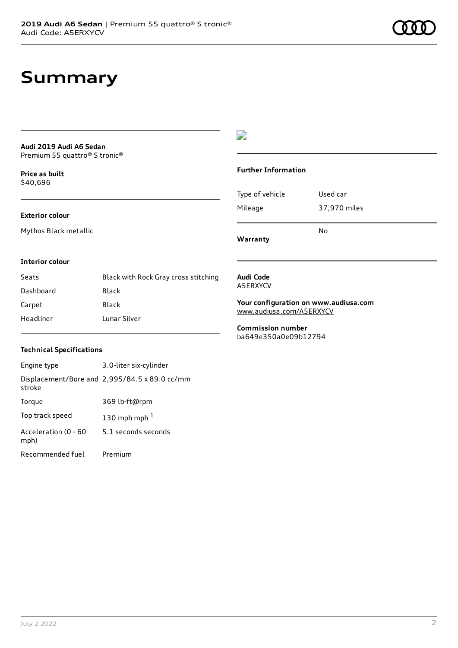### **Summary**

#### **Audi 2019 Audi A6 Sedan** Premium 55 quattro® S tronic®

**Price as buil[t](#page-10-0)** \$40,696

#### **Exterior colour**

Mythos Black metallic

### $\overline{\phantom{a}}$

#### **Further Information**

|                 | N٥           |
|-----------------|--------------|
| Mileage         | 37,970 miles |
| Type of vehicle | Used car     |

**Warranty**

#### **Interior colour**

| Seats     | Black with Rock Gray cross stitching |
|-----------|--------------------------------------|
| Dashboard | Black                                |
| Carpet    | Black                                |
| Headliner | Lunar Silver                         |

#### **Audi Code** A5ERXYCV

**Your configuration on www.audiusa.com** [www.audiusa.com/A5ERXYCV](https://www.audiusa.com/A5ERXYCV)

**Commission number** ba649e350a0e09b12794

#### **Technical Specifications**

| Engine type                  | 3.0-liter six-cylinder                        |
|------------------------------|-----------------------------------------------|
| stroke                       | Displacement/Bore and 2,995/84.5 x 89.0 cc/mm |
| Torque                       | 369 lb-ft@rpm                                 |
| Top track speed              | 130 mph mph $1$                               |
| Acceleration (0 - 60<br>mph) | 5.1 seconds seconds                           |
| Recommended fuel             | Premium                                       |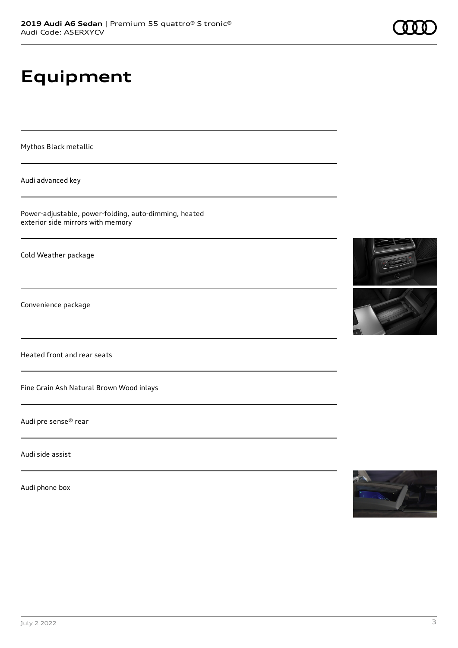# **Equipment**

Mythos Black metallic

Audi advanced key

Power-adjustable, power-folding, auto-dimming, heated exterior side mirrors with memory

Cold Weather package

Convenience package

Heated front and rear seats

Fine Grain Ash Natural Brown Wood inlays

Audi pre sense® rear

Audi side assist

Audi phone box







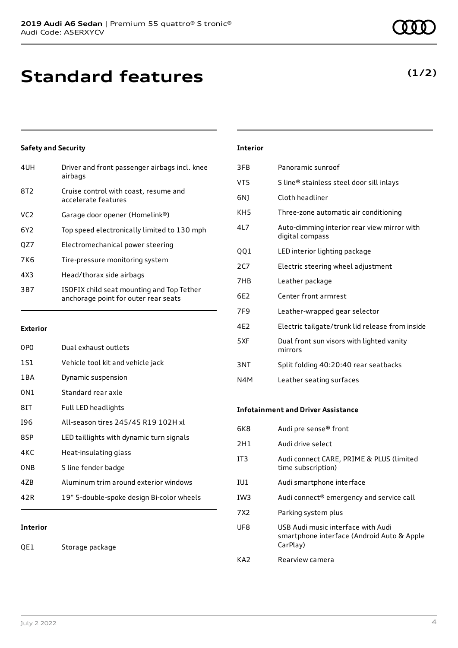## **Standard features**

#### **Safety and Security**

| 4UH             | Driver and front passenger airbags incl. knee<br>airbags                          |
|-----------------|-----------------------------------------------------------------------------------|
| 8T <sub>2</sub> | Cruise control with coast, resume and<br>accelerate features                      |
| VC <sub>2</sub> | Garage door opener (Homelink®)                                                    |
| 6Y <sub>2</sub> | Top speed electronically limited to 130 mph                                       |
| QZ7             | Electromechanical power steering                                                  |
| 7K <sub>6</sub> | Tire-pressure monitoring system                                                   |
| 4X3             | Head/thorax side airbags                                                          |
| 3B7             | ISOFIX child seat mounting and Top Tether<br>anchorage point for outer rear seats |

#### **Exterior**

| 0PO   | Dual exhaust outlets                      |
|-------|-------------------------------------------|
| 1S1   | Vehicle tool kit and vehicle jack         |
| 1 B A | Dynamic suspension                        |
| 0N1   | Standard rear axle                        |
| 81T   | Full LED headlights                       |
| 196   | All-season tires 245/45 R19 102H xl       |
| 8SP   | LED taillights with dynamic turn signals  |
| 4KC   | Heat-insulating glass                     |
| 0NB   | S line fender badge                       |
| 47B   | Aluminum trim around exterior windows     |
| 42 R  | 19" 5-double-spoke design Bi-color wheels |
|       |                                           |

#### **Interior**

QE1 Storage package

#### **Interior**

| 3FB  | Panoramic sunroof                                              |
|------|----------------------------------------------------------------|
| VT5  | S line® stainless steel door sill inlays                       |
| 6N)  | Cloth headliner                                                |
| KH5  | Three-zone automatic air conditioning                          |
| 41 7 | Auto-dimming interior rear view mirror with<br>digital compass |
| QQ1  | LED interior lighting package                                  |
| 2C7  | Electric steering wheel adjustment                             |
| 7HB  | Leather package                                                |
| 6F2  | Center front armrest                                           |
| 7F9  | Leather-wrapped gear selector                                  |
| 4E2  | Electric tailgate/trunk lid release from inside                |
| 5XF  | Dual front sun visors with lighted vanity<br>mirrors           |
| 3NT  | Split folding 40:20:40 rear seatbacks                          |
| N4M  | Leather seating surfaces                                       |
|      |                                                                |

#### **Infotainment and Driver Assistance**

| 6K8             | Audi pre sense <sup>®</sup> front                                                            |
|-----------------|----------------------------------------------------------------------------------------------|
| 2H1             | Audi drive select                                                                            |
| IT <sub>3</sub> | Audi connect CARE, PRIME & PLUS (limited<br>time subscription)                               |
| IU1             | Audi smartphone interface                                                                    |
| IW3             | Audi connect® emergency and service call                                                     |
| 7X <sub>2</sub> | Parking system plus                                                                          |
| UF8             | USB Audi music interface with Audi<br>smartphone interface (Android Auto & Apple<br>CarPlay) |
| KA2             | Rearview camera                                                                              |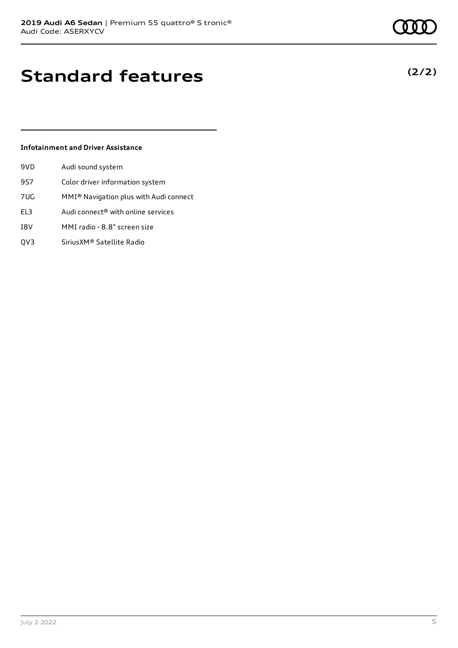**(2/2)**

### **Standard features**

#### **Infotainment and Driver Assistance**

| 9VD | Audi sound system                      |
|-----|----------------------------------------|
| 9S7 | Color driver information system        |
| 7UG | MMI® Navigation plus with Audi connect |
| EL3 | Audi connect® with online services     |
|     |                                        |

- I8V MMI radio 8.8" screen size
- QV3 SiriusXM® Satellite Radio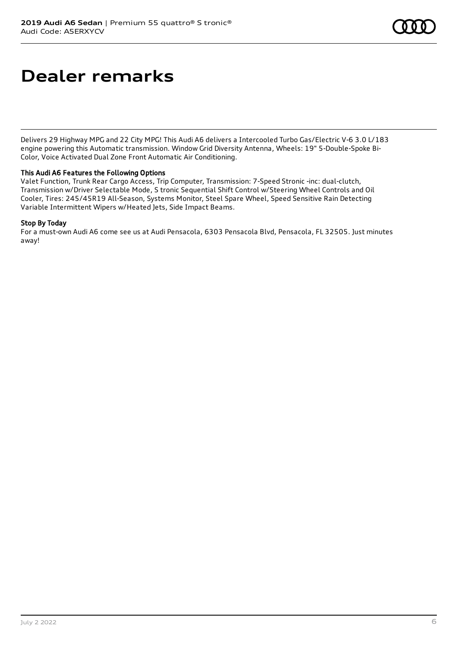### **Dealer remarks**

Delivers 29 Highway MPG and 22 City MPG! This Audi A6 delivers a Intercooled Turbo Gas/Electric V-6 3.0 L/183 engine powering this Automatic transmission. Window Grid Diversity Antenna, Wheels: 19" 5-Double-Spoke Bi-Color, Voice Activated Dual Zone Front Automatic Air Conditioning.

#### This Audi A6 Features the Following Options

Valet Function, Trunk Rear Cargo Access, Trip Computer, Transmission: 7-Speed Stronic -inc: dual-clutch, Transmission w/Driver Selectable Mode, S tronic Sequential Shift Control w/Steering Wheel Controls and Oil Cooler, Tires: 245/45R19 All-Season, Systems Monitor, Steel Spare Wheel, Speed Sensitive Rain Detecting Variable Intermittent Wipers w/Heated Jets, Side Impact Beams.

#### Stop By Today

For a must-own Audi A6 come see us at Audi Pensacola, 6303 Pensacola Blvd, Pensacola, FL 32505. Just minutes away!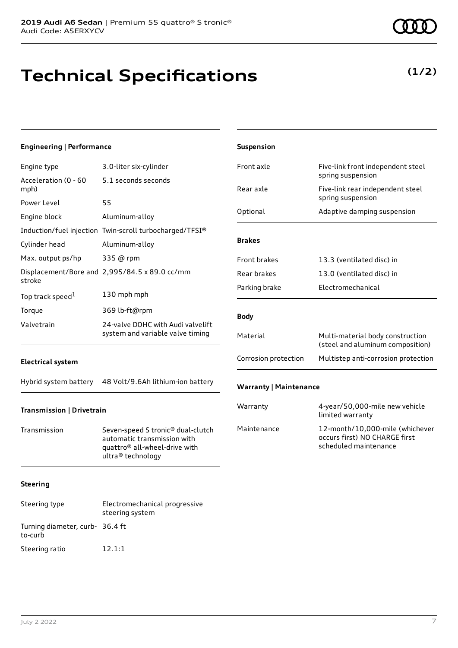# **Technical Specifications**

**(1/2)**

| <b>Engineering   Performance</b> |                                                                                                                                    | Suspension                    |                                                                                           |
|----------------------------------|------------------------------------------------------------------------------------------------------------------------------------|-------------------------------|-------------------------------------------------------------------------------------------|
| Engine type                      | 3.0-liter six-cylinder                                                                                                             | Front axle                    | Five-link front independent steel                                                         |
| Acceleration (0 - 60<br>mph)     | 5.1 seconds seconds                                                                                                                | Rear axle                     | spring suspension<br>Five-link rear independent steel                                     |
| Power Level                      | 55                                                                                                                                 |                               | spring suspension                                                                         |
| Engine block                     | Aluminum-alloy                                                                                                                     | Optional                      | Adaptive damping suspension                                                               |
|                                  | Induction/fuel injection Twin-scroll turbocharged/TFSI®                                                                            |                               |                                                                                           |
| Cylinder head                    | Aluminum-alloy                                                                                                                     | <b>Brakes</b>                 |                                                                                           |
| Max. output ps/hp                | 335 @ rpm                                                                                                                          | Front brakes                  | 13.3 (ventilated disc) in                                                                 |
| stroke                           | Displacement/Bore and 2,995/84.5 x 89.0 cc/mm                                                                                      | Rear brakes                   | 13.0 (ventilated disc) in                                                                 |
| Top track speed $^{\tt l}$       | 130 mph mph                                                                                                                        | Parking brake                 | Electromechanical                                                                         |
| Torque                           | 369 lb-ft@rpm                                                                                                                      |                               |                                                                                           |
| Valvetrain                       | 24-valve DOHC with Audi valvelift                                                                                                  | <b>Body</b>                   |                                                                                           |
|                                  | system and variable valve timing                                                                                                   | Material                      | Multi-material body construction<br>(steel and aluminum composition)                      |
| <b>Electrical system</b>         |                                                                                                                                    | Corrosion protection          | Multistep anti-corrosion protection                                                       |
|                                  | Hybrid system battery 48 Volt/9.6Ah lithium-ion battery                                                                            | <b>Warranty   Maintenance</b> |                                                                                           |
| Transmission   Drivetrain        |                                                                                                                                    | Warranty                      | 4-year/50,000-mile new vehicle<br>limited warranty                                        |
| Transmission                     | Seven-speed S tronic® dual-clutch<br>automatic transmission with<br>quattro <sup>®</sup> all-wheel-drive with<br>ultra® technology | Maintenance                   | 12-month/10,000-mile (whichever<br>occurs first) NO CHARGE first<br>scheduled maintenance |
| Steering                         |                                                                                                                                    |                               |                                                                                           |
| Steering type                    | Electromechanical progressive<br>steering system                                                                                   |                               |                                                                                           |

to-curb

Turning diameter, curb-36.4 ft

Steering ratio 12.1:1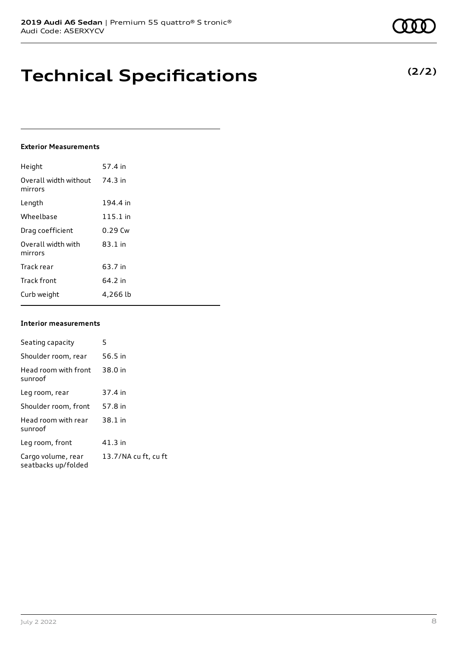### **Technical Specifications**

#### **Exterior Measurements**

| Height                           | 57.4 in    |
|----------------------------------|------------|
| Overall width without<br>mirrors | 74.3 in    |
| Length                           | 194.4 in   |
| Wheelbase                        | $115.1$ in |
| Drag coefficient                 | $0.29$ Cw  |
| Overall width with<br>mirrors    | 83.1 in    |
| Track rear                       | 63.7 in    |
| <b>Track front</b>               | 64.2 in    |
| Curb weight                      | 4,266 lb   |

#### **Interior measurements**

| Seating capacity                          | 5                    |
|-------------------------------------------|----------------------|
| Shoulder room, rear                       | 56.5 in              |
| Head room with front<br>sunroof           | 38.0 in              |
| Leg room, rear                            | 37.4 in              |
| Shoulder room, front                      | 57.8 in              |
| Head room with rear<br>sunroof            | 38.1 in              |
| Leg room, front                           | 41.3 in              |
| Cargo volume, rear<br>seatbacks up/folded | 13.7/NA cu ft, cu ft |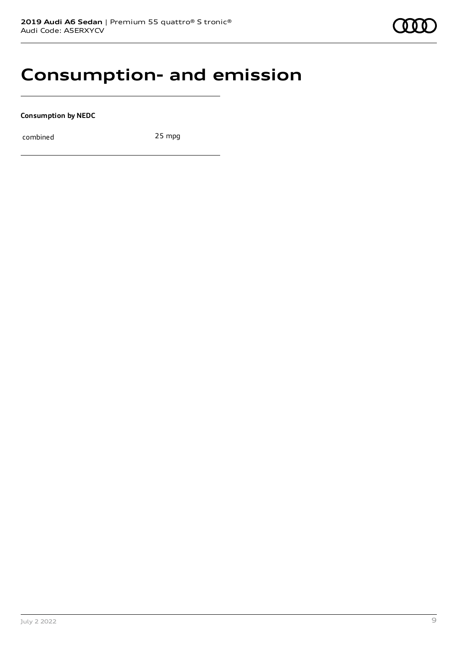### **Consumption- and emission**

**Consumption by NEDC**

combined 25 mpg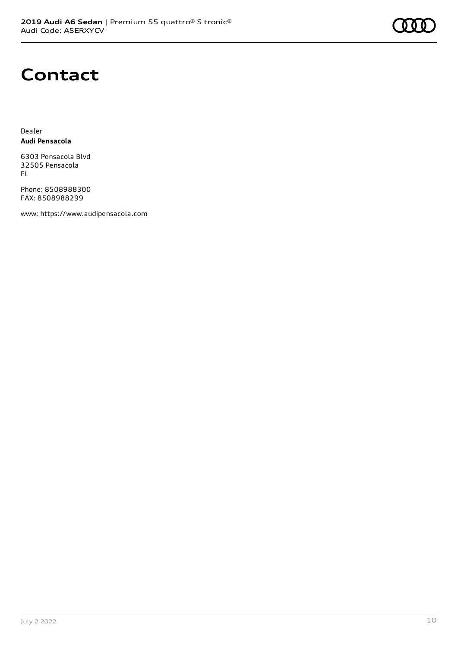### **Contact**

Dealer **Audi Pensacola**

6303 Pensacola Blvd 32505 Pensacola FL

Phone: 8508988300 FAX: 8508988299

www: [https://www.audipensacola.com](https://www.audipensacola.com/)